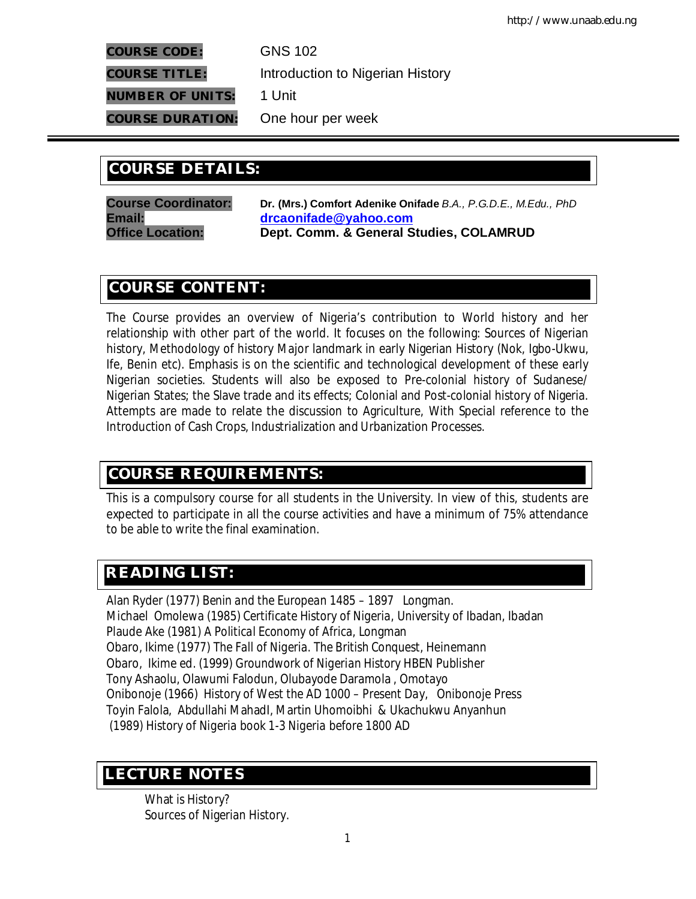**COURSE CODE:** GNS 102

**COURSE TITLE:** Introduction to Nigerian History

**NUMBER OF UNITS:** 1 Unit

**COURSE DURATION:** One hour per week

# **COURSE DETAILS: COURSE DETAILS:**

**Course Coordinator: Dr. (Mrs.) Comfort Adenike Onifade** *B.A., P.G.D.E., M.Edu., PhD* **Email: drcaonifade@yahoo.com Office Location: Dept. Comm. & General Studies, COLAMRUD**

# **COURSE CONTENT:**

The Course provides an overview of Nigeria's contribution to World history and her relationship with other part of the world. It focuses on the following: Sources of Nigerian history, Methodology of history Major landmark in early Nigerian History (Nok, Igbo-Ukwu, Ife, Benin etc). Emphasis is on the scientific and technological development of these early Nigerian societies. Students will also be exposed to Pre-colonial history of Sudanese/ Nigerian States; the Slave trade and its effects; Colonial and Post-colonial history of Nigeria. Attempts are made to relate the discussion to Agriculture, With Special reference to the Introduction of Cash Crops, Industrialization and Urbanization Processes.

# **COURSE REQUIREMENTS:**

This is a compulsory course for all students in the University. In view of this, students are expected to participate in all the course activities and have a minimum of 75% attendance to be able to write the final examination.

# **READING LIST:**

Alan Ryder (1977*) Benin and the European 1485 – 1897* Longman. Michael Omolewa (1985) *Certificate History of Nigeria,* University of Ibadan, Ibadan Plaude Ake (1981*) A Political Economy of Africa,* Longman Obaro, Ikime (1977) *The Fall of Nigeria. The British Conquest*, Heinemann Obaro, Ikime ed. (1999) *Groundwork of Nigerian History* HBEN Publisher Tony Ashaolu, Olawumi Falodun, Olubayode Daramola , Omotayo Onibonoje (1966) *History of West the AD 1000 – Present Day,* Onibonoje Press Toyin Falola, Abdullahi MahadI, Martin Uhomoibhi & Ukachukwu Anyanhun (1989*) History of Nigeria book 1-3 Nigeria before 1800 AD*

# **E LECTURE NOTES**

What is History? Sources of Nigerian History.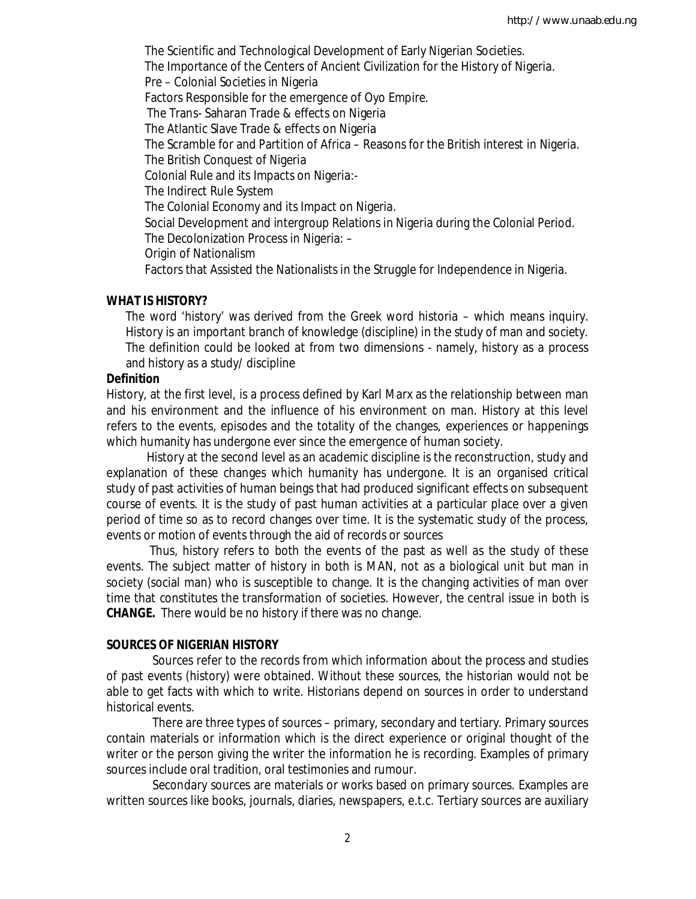The Scientific and Technological Development of Early Nigerian Societies. The Importance of the Centers of Ancient Civilization for the History of Nigeria. Pre – Colonial Societies in Nigeria Factors Responsible for the emergence of Oyo Empire. The Trans- Saharan Trade & effects on Nigeria The Atlantic Slave Trade & effects on Nigeria The Scramble for and Partition of Africa – Reasons for the British interest in Nigeria. The British Conquest of Nigeria Colonial Rule and its Impacts on Nigeria:- The Indirect Rule System The Colonial Economy and its Impact on Nigeria. Social Development and intergroup Relations in Nigeria during the Colonial Period. The Decolonization Process in Nigeria: – Origin of Nationalism Factors that Assisted the Nationalists in the Struggle for Independence in Nigeria.

## **WHAT IS HISTORY?**

The word 'history' was derived from the Greek word historia – which means inquiry. History is an important branch of knowledge (discipline) in the study of man and society. The definition could be looked at from two dimensions - namely, history as a process and history as a study/ discipline

#### **Definition**

History, at the first level, is a process defined by Karl Marx as the relationship between man and his environment and the influence of his environment on man. History at this level refers to the events, episodes and the totality of the changes, experiences or happenings which humanity has undergone ever since the emergence of human society.

 History at the second level as an academic discipline is the reconstruction, study and explanation of these changes which humanity has undergone. It is an organised critical study of past activities of human beings that had produced significant effects on subsequent course of events. It is the study of past human activities at a particular place over a given period of time so as to record changes over time. It is the systematic study of the process, events or motion of events through the aid of records or sources

 Thus, history refers to both the events of the past as well as the study of these events. The subject matter of history in both is MAN, not as a biological unit but man in society (social man) who is susceptible to change. It is the changing activities of man over time that constitutes the transformation of societies. However, the central issue in both is **CHANGE.** There would be no history if there was no change.

## **SOURCES OF NIGERIAN HISTORY**

 Sources refer to the records from which information about the process and studies of past events (history) were obtained. Without these sources, the historian would not be able to get facts with which to write. Historians depend on sources in order to understand historical events.

 There are three types of sources – primary, secondary and tertiary. Primary sources contain materials or information which is the direct experience or original thought of the writer or the person giving the writer the information he is recording. Examples of primary sources include oral tradition, oral testimonies and rumour.

 Secondary sources are materials or works based on primary sources. Examples are written sources like books, journals, diaries, newspapers, e.t.c. Tertiary sources are auxiliary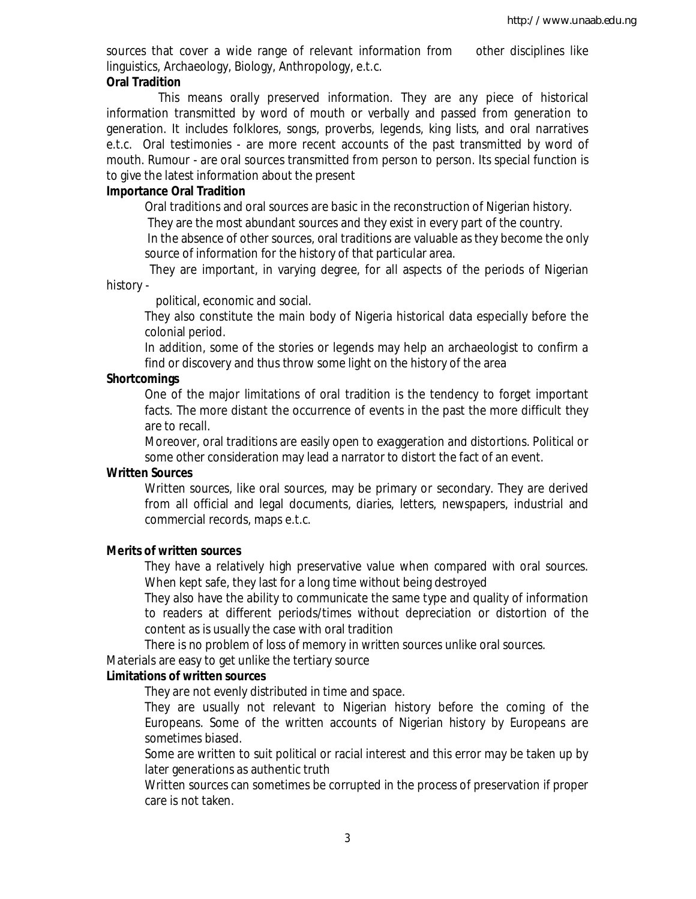sources that cover a wide range of relevant information from other disciplines like linguistics, Archaeology, Biology, Anthropology, e.t.c.

#### **Oral Tradition**

 This means orally preserved information. They are any piece of historical information transmitted by word of mouth or verbally and passed from generation to generation. It includes folklores, songs, proverbs, legends, king lists, and oral narratives e.t.c. Oral testimonies - are more recent accounts of the past transmitted by word of mouth. Rumour - are oral sources transmitted from person to person. Its special function is to give the latest information about the present

## **Importance Oral Tradition**

Oral traditions and oral sources are basic in the reconstruction of Nigerian history.

They are the most abundant sources and they exist in every part of the country.

In the absence of other sources, oral traditions are valuable as they become the only source of information for the history of that particular area.

 They are important, in varying degree, for all aspects of the periods of Nigerian history -

political, economic and social.

They also constitute the main body of Nigeria historical data especially before the colonial period.

In addition, some of the stories or legends may help an archaeologist to confirm a find or discovery and thus throw some light on the history of the area

#### **Shortcomings**

One of the major limitations of oral tradition is the tendency to forget important facts. The more distant the occurrence of events in the past the more difficult they are to recall.

Moreover, oral traditions are easily open to exaggeration and distortions. Political or some other consideration may lead a narrator to distort the fact of an event.

#### **Written Sources**

Written sources, like oral sources, may be primary or secondary. They are derived from all official and legal documents, diaries, letters, newspapers, industrial and commercial records, maps e.t.c.

#### **Merits of written sources**

They have a relatively high preservative value when compared with oral sources. When kept safe, they last for a long time without being destroyed

They also have the ability to communicate the same type and quality of information to readers at different periods/times without depreciation or distortion of the content as is usually the case with oral tradition

There is no problem of loss of memory in written sources unlike oral sources.

Materials are easy to get unlike the tertiary source

#### **Limitations of written sources**

They are not evenly distributed in time and space.

They are usually not relevant to Nigerian history before the coming of the Europeans. Some of the written accounts of Nigerian history by Europeans are sometimes biased.

Some are written to suit political or racial interest and this error may be taken up by later generations as authentic truth

Written sources can sometimes be corrupted in the process of preservation if proper care is not taken.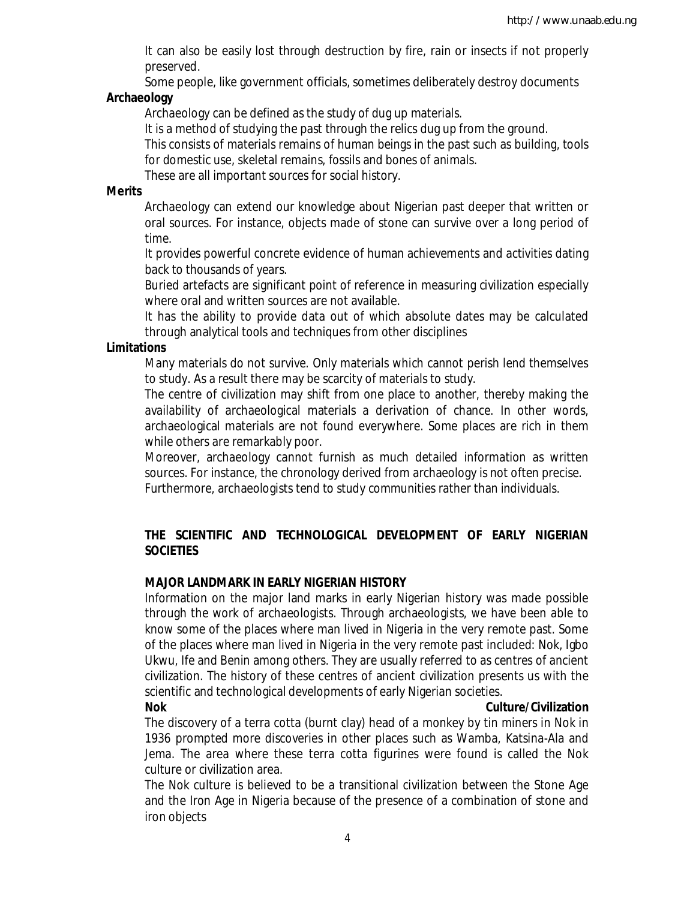It can also be easily lost through destruction by fire, rain or insects if not properly preserved.

Some people, like government officials, sometimes deliberately destroy documents

## **Archaeology**

Archaeology can be defined as the study of dug up materials.

It is a method of studying the past through the relics dug up from the ground.

This consists of materials remains of human beings in the past such as building, tools for domestic use, skeletal remains, fossils and bones of animals.

These are all important sources for social history.

## **Merits**

Archaeology can extend our knowledge about Nigerian past deeper that written or oral sources. For instance, objects made of stone can survive over a long period of time.

It provides powerful concrete evidence of human achievements and activities dating back to thousands of years.

Buried artefacts are significant point of reference in measuring civilization especially where oral and written sources are not available.

It has the ability to provide data out of which absolute dates may be calculated through analytical tools and techniques from other disciplines

## **Limitations**

Many materials do not survive. Only materials which cannot perish lend themselves to study. As a result there may be scarcity of materials to study.

The centre of civilization may shift from one place to another, thereby making the availability of archaeological materials a derivation of chance. In other words, archaeological materials are not found everywhere. Some places are rich in them while others are remarkably poor.

Moreover, archaeology cannot furnish as much detailed information as written sources. For instance, the chronology derived from archaeology is not often precise. Furthermore, archaeologists tend to study communities rather than individuals.

# **THE SCIENTIFIC AND TECHNOLOGICAL DEVELOPMENT OF EARLY NIGERIAN SOCIETIES**

# **MAJOR LANDMARK IN EARLY NIGERIAN HISTORY**

Information on the major land marks in early Nigerian history was made possible through the work of archaeologists. Through archaeologists, we have been able to know some of the places where man lived in Nigeria in the very remote past. Some of the places where man lived in Nigeria in the very remote past included: Nok, Igbo Ukwu, Ife and Benin among others. They are usually referred to as centres of ancient civilization. The history of these centres of ancient civilization presents us with the scientific and technological developments of early Nigerian societies.

## **Nok Culture/Civilization**

The discovery of a terra cotta (burnt clay) head of a monkey by tin miners in Nok in 1936 prompted more discoveries in other places such as Wamba, Katsina-Ala and Jema. The area where these terra cotta figurines were found is called the Nok culture or civilization area.

The Nok culture is believed to be a transitional civilization between the Stone Age and the Iron Age in Nigeria because of the presence of a combination of stone and iron objects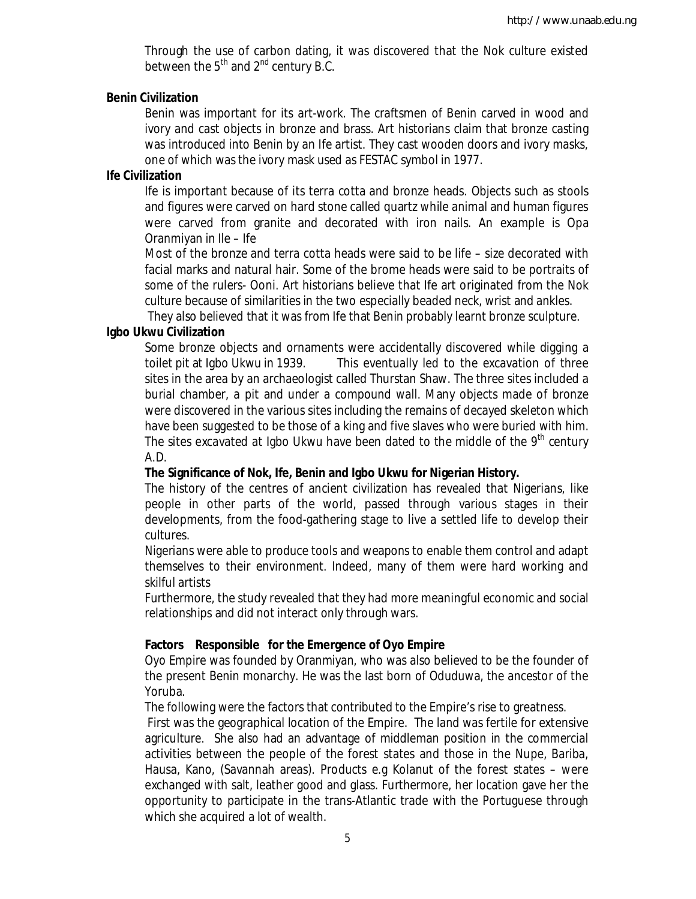Through the use of carbon dating, it was discovered that the Nok culture existed between the  $5<sup>th</sup>$  and  $2<sup>nd</sup>$  century B.C.

## **Benin Civilization**

Benin was important for its art-work. The craftsmen of Benin carved in wood and ivory and cast objects in bronze and brass. Art historians claim that bronze casting was introduced into Benin by an Ife artist. They cast wooden doors and ivory masks, one of which was the ivory mask used as FESTAC symbol in 1977.

## **Ife Civilization**

Ife is important because of its terra cotta and bronze heads. Objects such as stools and figures were carved on hard stone called quartz while animal and human figures were carved from granite and decorated with iron nails. An example is Opa Oranmiyan in Ile – Ife

Most of the bronze and terra cotta heads were said to be life – size decorated with facial marks and natural hair. Some of the brome heads were said to be portraits of some of the rulers- Ooni. Art historians believe that Ife art originated from the Nok culture because of similarities in the two especially beaded neck, wrist and ankles.

They also believed that it was from Ife that Benin probably learnt bronze sculpture.

## **Igbo Ukwu Civilization**

Some bronze objects and ornaments were accidentally discovered while digging a toilet pit at Igbo Ukwu in 1939. This eventually led to the excavation of three sites in the area by an archaeologist called Thurstan Shaw. The three sites included a burial chamber, a pit and under a compound wall. Many objects made of bronze were discovered in the various sites including the remains of decayed skeleton which have been suggested to be those of a king and five slaves who were buried with him. The sites excavated at Igbo Ukwu have been dated to the middle of the  $9<sup>th</sup>$  century A.D.

## **The Significance of Nok, Ife, Benin and Igbo Ukwu for Nigerian History.**

The history of the centres of ancient civilization has revealed that Nigerians, like people in other parts of the world, passed through various stages in their developments, from the food-gathering stage to live a settled life to develop their cultures.

Nigerians were able to produce tools and weapons to enable them control and adapt themselves to their environment. Indeed, many of them were hard working and skilful artists

Furthermore, the study revealed that they had more meaningful economic and social relationships and did not interact only through wars.

## **Factors Responsible for the Emergence of Oyo Empire**

Oyo Empire was founded by Oranmiyan, who was also believed to be the founder of the present Benin monarchy. He was the last born of Oduduwa, the ancestor of the Yoruba.

The following were the factors that contributed to the Empire's rise to greatness.

First was the geographical location of the Empire. The land was fertile for extensive agriculture. She also had an advantage of middleman position in the commercial activities between the people of the forest states and those in the Nupe, Bariba, Hausa, Kano, (Savannah areas). Products e.g Kolanut of the forest states – were exchanged with salt, leather good and glass. Furthermore, her location gave her the opportunity to participate in the trans-Atlantic trade with the Portuguese through which she acquired a lot of wealth.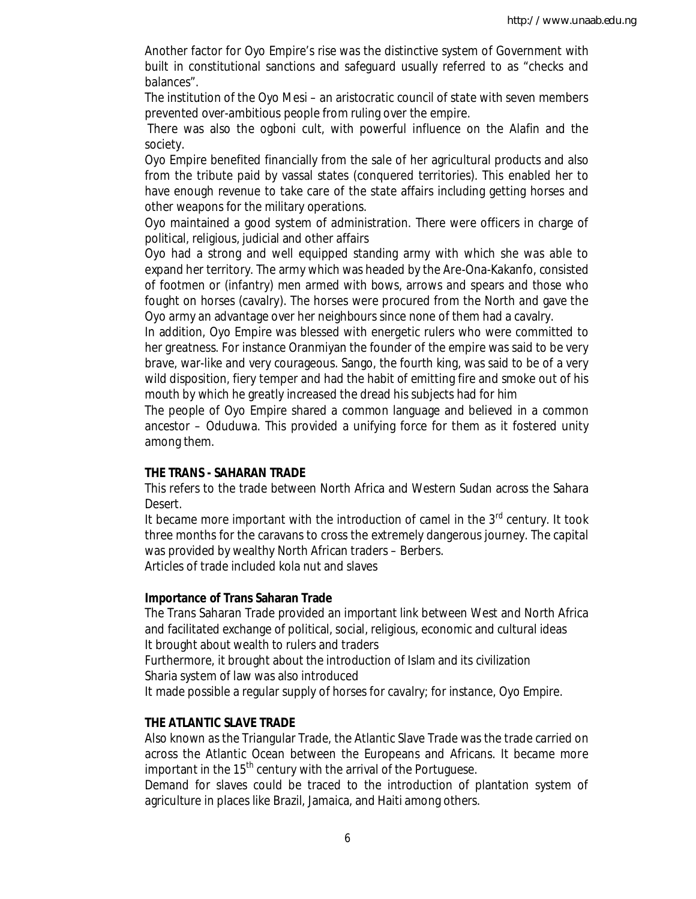Another factor for Oyo Empire's rise was the distinctive system of Government with built in constitutional sanctions and safeguard usually referred to as "checks and balances".

The institution of the Oyo Mesi – an aristocratic council of state with seven members prevented over-ambitious people from ruling over the empire.

There was also the ogboni cult, with powerful influence on the Alafin and the society.

Oyo Empire benefited financially from the sale of her agricultural products and also from the tribute paid by vassal states (conquered territories). This enabled her to have enough revenue to take care of the state affairs including getting horses and other weapons for the military operations.

Oyo maintained a good system of administration. There were officers in charge of political, religious, judicial and other affairs

Oyo had a strong and well equipped standing army with which she was able to expand her territory. The army which was headed by the Are-Ona-Kakanfo, consisted of footmen or (infantry) men armed with bows, arrows and spears and those who fought on horses (cavalry). The horses were procured from the North and gave the Oyo army an advantage over her neighbours since none of them had a cavalry.

In addition, Oyo Empire was blessed with energetic rulers who were committed to her greatness. For instance Oranmiyan the founder of the empire was said to be very brave, war-like and very courageous. Sango, the fourth king, was said to be of a very wild disposition, fiery temper and had the habit of emitting fire and smoke out of his mouth by which he greatly increased the dread his subjects had for him

The people of Oyo Empire shared a common language and believed in a common ancestor – Oduduwa. This provided a unifying force for them as it fostered unity among them.

#### **THE TRANS - SAHARAN TRADE**

This refers to the trade between North Africa and Western Sudan across the Sahara Desert.

It became more important with the introduction of camel in the  $3<sup>rd</sup>$  century. It took three months for the caravans to cross the extremely dangerous journey. The capital was provided by wealthy North African traders – Berbers.

Articles of trade included kola nut and slaves

#### **Importance of Trans Saharan Trade**

The Trans Saharan Trade provided an important link between West and North Africa and facilitated exchange of political, social, religious, economic and cultural ideas It brought about wealth to rulers and traders

Furthermore, it brought about the introduction of Islam and its civilization Sharia system of law was also introduced

It made possible a regular supply of horses for cavalry; for instance, Oyo Empire.

#### **THE ATLANTIC SLAVE TRADE**

Also known as the Triangular Trade, the Atlantic Slave Trade was the trade carried on across the Atlantic Ocean between the Europeans and Africans. It became more important in the 15<sup>th</sup> century with the arrival of the Portuguese.

Demand for slaves could be traced to the introduction of plantation system of agriculture in places like Brazil, Jamaica, and Haiti among others.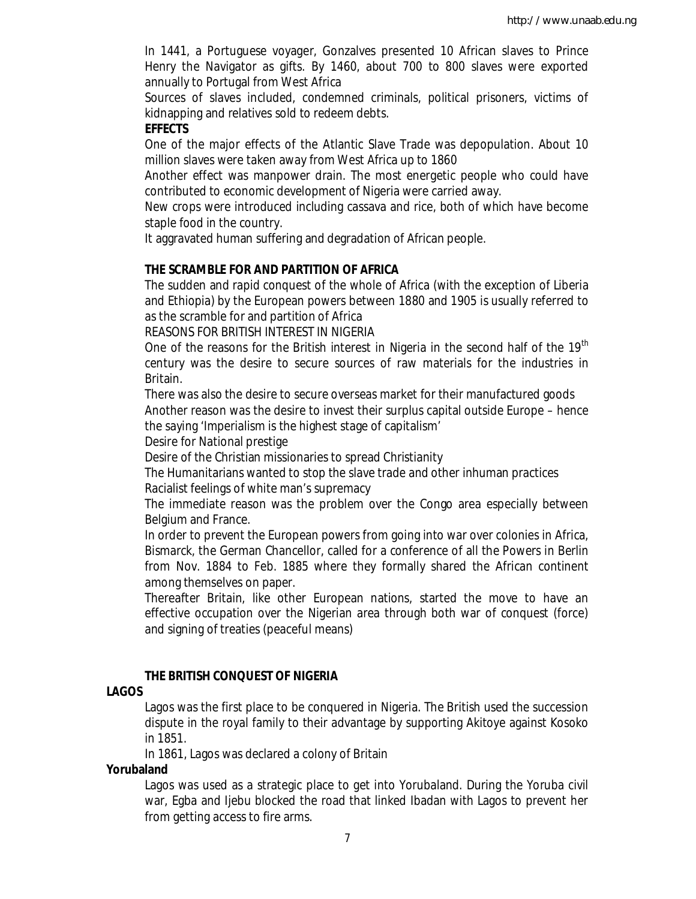In 1441, a Portuguese voyager, Gonzalves presented 10 African slaves to Prince Henry the Navigator as gifts. By 1460, about 700 to 800 slaves were exported annually to Portugal from West Africa

Sources of slaves included, condemned criminals, political prisoners, victims of kidnapping and relatives sold to redeem debts.

### **EFFECTS**

One of the major effects of the Atlantic Slave Trade was depopulation. About 10 million slaves were taken away from West Africa up to 1860

Another effect was manpower drain. The most energetic people who could have contributed to economic development of Nigeria were carried away.

New crops were introduced including cassava and rice, both of which have become staple food in the country.

It aggravated human suffering and degradation of African people.

## **THE SCRAMBLE FOR AND PARTITION OF AFRICA**

The sudden and rapid conquest of the whole of Africa (with the exception of Liberia and Ethiopia) by the European powers between 1880 and 1905 is usually referred to as the scramble for and partition of Africa

REASONS FOR BRITISH INTEREST IN NIGERIA

One of the reasons for the British interest in Nigeria in the second half of the  $19<sup>tn</sup>$ century was the desire to secure sources of raw materials for the industries in Britain.

There was also the desire to secure overseas market for their manufactured goods Another reason was the desire to invest their surplus capital outside Europe – hence the saying 'Imperialism is the highest stage of capitalism'

Desire for National prestige

Desire of the Christian missionaries to spread Christianity

The Humanitarians wanted to stop the slave trade and other inhuman practices Racialist feelings of white man's supremacy

The immediate reason was the problem over the Congo area especially between Belgium and France.

In order to prevent the European powers from going into war over colonies in Africa, Bismarck, the German Chancellor, called for a conference of all the Powers in Berlin from Nov. 1884 to Feb. 1885 where they formally shared the African continent among themselves on paper.

Thereafter Britain, like other European nations, started the move to have an effective occupation over the Nigerian area through both war of conquest (force) and signing of treaties (peaceful means)

#### **THE BRITISH CONQUEST OF NIGERIA**

#### **LAGOS**

Lagos was the first place to be conquered in Nigeria. The British used the succession dispute in the royal family to their advantage by supporting Akitoye against Kosoko in 1851.

In 1861, Lagos was declared a colony of Britain

### **Yorubaland**

Lagos was used as a strategic place to get into Yorubaland. During the Yoruba civil war, Egba and Ijebu blocked the road that linked Ibadan with Lagos to prevent her from getting access to fire arms.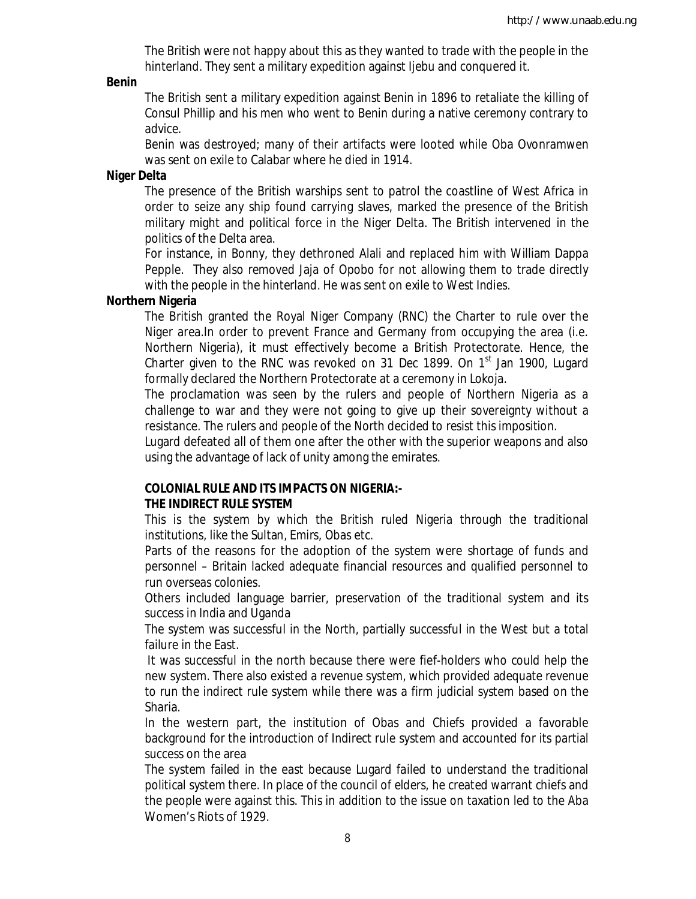The British were not happy about this as they wanted to trade with the people in the hinterland. They sent a military expedition against Ijebu and conquered it.

#### **Benin**

The British sent a military expedition against Benin in 1896 to retaliate the killing of Consul Phillip and his men who went to Benin during a native ceremony contrary to advice.

Benin was destroyed; many of their artifacts were looted while Oba Ovonramwen was sent on exile to Calabar where he died in 1914.

#### **Niger Delta**

The presence of the British warships sent to patrol the coastline of West Africa in order to seize any ship found carrying slaves, marked the presence of the British military might and political force in the Niger Delta. The British intervened in the politics of the Delta area.

For instance, in Bonny, they dethroned Alali and replaced him with William Dappa Pepple. They also removed Jaja of Opobo for not allowing them to trade directly with the people in the hinterland. He was sent on exile to West Indies.

#### **Northern Nigeria**

The British granted the Royal Niger Company (RNC) the Charter to rule over the Niger area.In order to prevent France and Germany from occupying the area (i.e. Northern Nigeria), it must effectively become a British Protectorate. Hence, the Charter given to the RNC was revoked on 31 Dec 1899. On  $1<sup>st</sup>$  Jan 1900, Lugard formally declared the Northern Protectorate at a ceremony in Lokoja.

The proclamation was seen by the rulers and people of Northern Nigeria as a challenge to war and they were not going to give up their sovereignty without a resistance. The rulers and people of the North decided to resist this imposition.

Lugard defeated all of them one after the other with the superior weapons and also using the advantage of lack of unity among the emirates.

#### **COLONIAL RULE AND ITS IMPACTS ON NIGERIA:- THE INDIRECT RULE SYSTEM**

This is the system by which the British ruled Nigeria through the traditional institutions, like the Sultan, Emirs, Obas etc.

Parts of the reasons for the adoption of the system were shortage of funds and personnel – Britain lacked adequate financial resources and qualified personnel to run overseas colonies.

Others included language barrier, preservation of the traditional system and its success in India and Uganda

The system was successful in the North, partially successful in the West but a total failure in the East.

It was successful in the north because there were fief-holders who could help the new system. There also existed a revenue system, which provided adequate revenue to run the indirect rule system while there was a firm judicial system based on the Sharia.

In the western part, the institution of Obas and Chiefs provided a favorable background for the introduction of Indirect rule system and accounted for its partial success on the area

The system failed in the east because Lugard failed to understand the traditional political system there. In place of the council of elders, he created warrant chiefs and the people were against this. This in addition to the issue on taxation led to the Aba Women's Riots of 1929.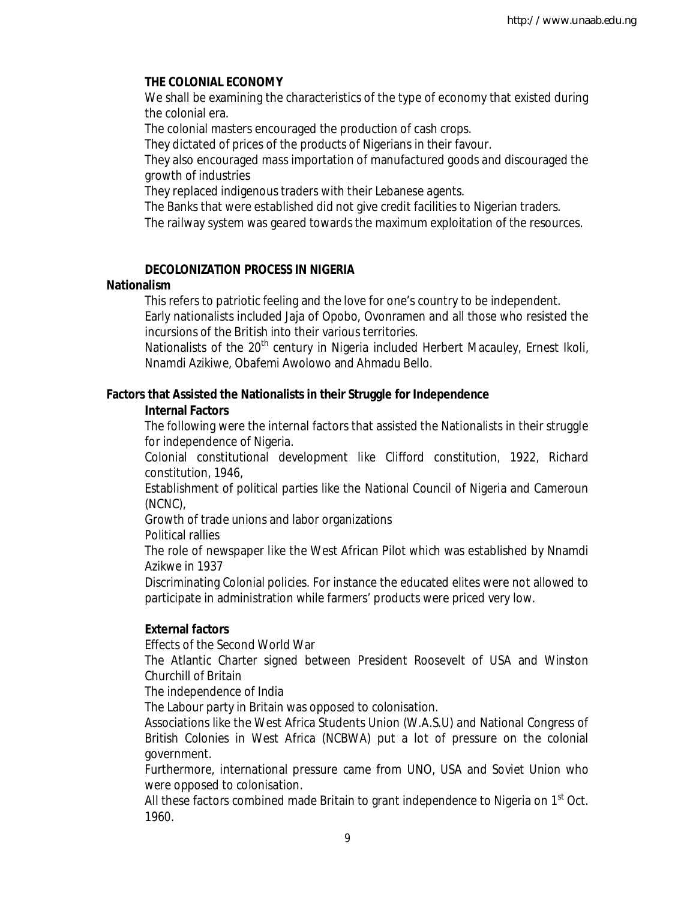## **THE COLONIAL ECONOMY**

We shall be examining the characteristics of the type of economy that existed during the colonial era.

The colonial masters encouraged the production of cash crops.

They dictated of prices of the products of Nigerians in their favour.

They also encouraged mass importation of manufactured goods and discouraged the growth of industries

They replaced indigenous traders with their Lebanese agents.

The Banks that were established did not give credit facilities to Nigerian traders.

The railway system was geared towards the maximum exploitation of the resources.

# **DECOLONIZATION PROCESS IN NIGERIA**

## **Nationalism**

This refers to patriotic feeling and the love for one's country to be independent. Early nationalists included Jaja of Opobo, Ovonramen and all those who resisted the incursions of the British into their various territories.

Nationalists of the 20<sup>th</sup> century in Nigeria included Herbert Macauley, Ernest Ikoli, Nnamdi Azikiwe, Obafemi Awolowo and Ahmadu Bello.

## **Factors that Assisted the Nationalists in their Struggle for Independence**

## **Internal Factors**

The following were the internal factors that assisted the Nationalists in their struggle for independence of Nigeria.

Colonial constitutional development like Clifford constitution, 1922, Richard constitution, 1946,

Establishment of political parties like the National Council of Nigeria and Cameroun (NCNC),

Growth of trade unions and labor organizations

Political rallies

The role of newspaper like the West African Pilot which was established by Nnamdi Azikwe in 1937

Discriminating Colonial policies. For instance the educated elites were not allowed to participate in administration while farmers' products were priced very low.

# **External factors**

Effects of the Second World War

The Atlantic Charter signed between President Roosevelt of USA and Winston Churchill of Britain

The independence of India

The Labour party in Britain was opposed to colonisation.

Associations like the West Africa Students Union (W.A.S.U) and National Congress of British Colonies in West Africa (NCBWA) put a lot of pressure on the colonial government.

Furthermore, international pressure came from UNO, USA and Soviet Union who were opposed to colonisation.

All these factors combined made Britain to grant independence to Nigeria on 1<sup>st</sup> Oct. 1960.